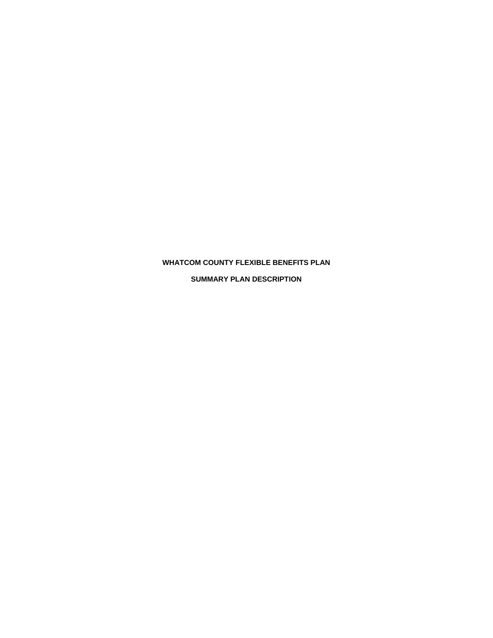# **WHATCOM COUNTY FLEXIBLE BENEFITS PLAN**

**SUMMARY PLAN DESCRIPTION**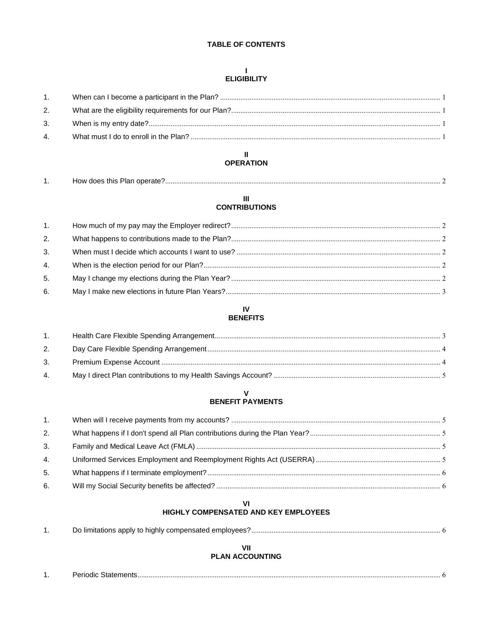# **TABLE OF CONTENTS**

# $\mathbf{L}$ **ELIGIBILITY**

| 1. |  |
|----|--|
| 2. |  |
| 3. |  |
| 4. |  |

# $\mathbf{II}$ **OPERATION**

| . . | HOW GOES THIS.<br>пан |  |
|-----|-----------------------|--|
|     |                       |  |

# $\ensuremath{\mathsf{III}}\xspace$ **CONTRIBUTIONS**

| 1. |  |
|----|--|
| 2. |  |
| 3. |  |
| 4. |  |
| 5. |  |
| 6. |  |
|    |  |

# $\mathsf{IV}$ **BENEFITS**

| 1. |  |
|----|--|
| 2. |  |
| 3. |  |
| 4. |  |

# $\mathbf v$ **BENEFIT PAYMENTS**

| 1. |  |
|----|--|
| 2. |  |
| 3. |  |
| 4. |  |
| 5. |  |
| 6. |  |

# VI<br>HIGHLY COMPENSATED AND KEY EMPLOYEES

|--|--|--|

# VII<br>PLAN ACCOUNTING

| חוממו־<br>שוואונ |  |
|------------------|--|
|                  |  |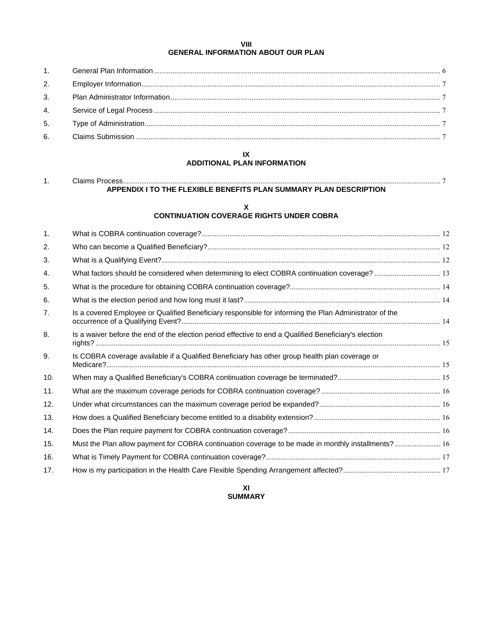# **VIII GENERAL INFORMATION ABOUT OUR PLAN**

| 3. |  |
|----|--|
|    |  |
|    |  |
| 6. |  |
|    |  |

# **IX ADDITIONAL PLAN INFORMATION**

| วิlaims Process                                                   |
|-------------------------------------------------------------------|
| APPENDIX I TO THE FLEXIBLE BENEFITS PLAN SUMMARY PLAN DESCRIPTION |

# **X CONTINUATION COVERAGE RIGHTS UNDER COBRA**

| 1.  |                                                                                                        |  |
|-----|--------------------------------------------------------------------------------------------------------|--|
| 2.  |                                                                                                        |  |
| 3.  |                                                                                                        |  |
| 4.  | What factors should be considered when determining to elect COBRA continuation coverage? 13            |  |
| 5.  |                                                                                                        |  |
| 6.  |                                                                                                        |  |
| 7.  | Is a covered Employee or Qualified Beneficiary responsible for informing the Plan Administrator of the |  |
| 8.  | Is a waiver before the end of the election period effective to end a Qualified Beneficiary's election  |  |
| 9.  | Is COBRA coverage available if a Qualified Beneficiary has other group health plan coverage or         |  |
| 10. |                                                                                                        |  |
| 11. |                                                                                                        |  |
| 12. |                                                                                                        |  |
| 13. |                                                                                                        |  |
| 14. |                                                                                                        |  |
| 15. | Must the Plan allow payment for COBRA continuation coverage to be made in monthly installments? 16     |  |
| 16. |                                                                                                        |  |
| 17. |                                                                                                        |  |

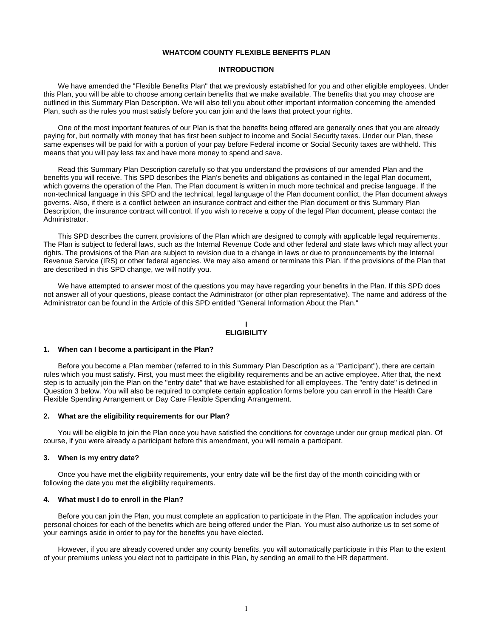# **WHATCOM COUNTY FLEXIBLE BENEFITS PLAN**

#### **INTRODUCTION**

We have amended the "Flexible Benefits Plan" that we previously established for you and other eligible employees. Under this Plan, you will be able to choose among certain benefits that we make available. The benefits that you may choose are outlined in this Summary Plan Description. We will also tell you about other important information concerning the amended Plan, such as the rules you must satisfy before you can join and the laws that protect your rights.

One of the most important features of our Plan is that the benefits being offered are generally ones that you are already paying for, but normally with money that has first been subject to income and Social Security taxes. Under our Plan, these same expenses will be paid for with a portion of your pay before Federal income or Social Security taxes are withheld. This means that you will pay less tax and have more money to spend and save.

Read this Summary Plan Description carefully so that you understand the provisions of our amended Plan and the benefits you will receive. This SPD describes the Plan's benefits and obligations as contained in the legal Plan document, which governs the operation of the Plan. The Plan document is written in much more technical and precise language. If the non-technical language in this SPD and the technical, legal language of the Plan document conflict, the Plan document always governs. Also, if there is a conflict between an insurance contract and either the Plan document or this Summary Plan Description, the insurance contract will control. If you wish to receive a copy of the legal Plan document, please contact the Administrator.

This SPD describes the current provisions of the Plan which are designed to comply with applicable legal requirements. The Plan is subject to federal laws, such as the Internal Revenue Code and other federal and state laws which may affect your rights. The provisions of the Plan are subject to revision due to a change in laws or due to pronouncements by the Internal Revenue Service (IRS) or other federal agencies. We may also amend or terminate this Plan. If the provisions of the Plan that are described in this SPD change, we will notify you.

We have attempted to answer most of the questions you may have regarding your benefits in the Plan. If this SPD does not answer all of your questions, please contact the Administrator (or other plan representative). The name and address of the Administrator can be found in the Article of this SPD entitled "General Information About the Plan."

#### **I ELIGIBILITY**

#### **1. When can I become a participant in the Plan?**

Before you become a Plan member (referred to in this Summary Plan Description as a "Participant"), there are certain rules which you must satisfy. First, you must meet the eligibility requirements and be an active employee. After that, the next step is to actually join the Plan on the "entry date" that we have established for all employees. The "entry date" is defined in Question 3 below. You will also be required to complete certain application forms before you can enroll in the Health Care Flexible Spending Arrangement or Day Care Flexible Spending Arrangement.

# **2. What are the eligibility requirements for our Plan?**

You will be eligible to join the Plan once you have satisfied the conditions for coverage under our group medical plan. Of course, if you were already a participant before this amendment, you will remain a participant.

#### **3. When is my entry date?**

Once you have met the eligibility requirements, your entry date will be the first day of the month coinciding with or following the date you met the eligibility requirements.

#### **4. What must I do to enroll in the Plan?**

Before you can join the Plan, you must complete an application to participate in the Plan. The application includes your personal choices for each of the benefits which are being offered under the Plan. You must also authorize us to set some of your earnings aside in order to pay for the benefits you have elected.

However, if you are already covered under any county benefits, you will automatically participate in this Plan to the extent of your premiums unless you elect not to participate in this Plan, by sending an email to the HR department.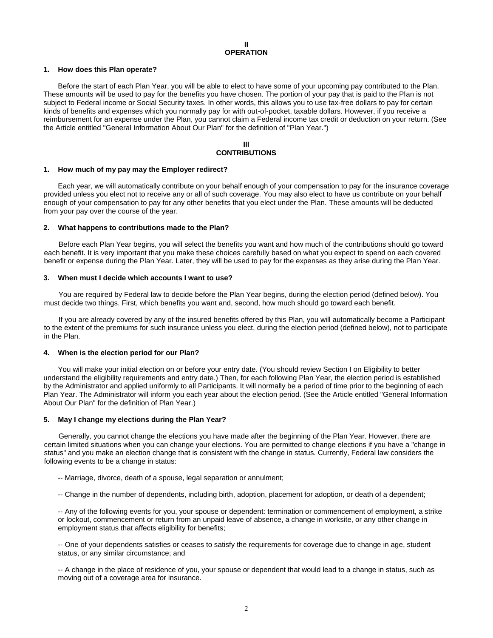#### **1. How does this Plan operate?**

Before the start of each Plan Year, you will be able to elect to have some of your upcoming pay contributed to the Plan. These amounts will be used to pay for the benefits you have chosen. The portion of your pay that is paid to the Plan is not subject to Federal income or Social Security taxes. In other words, this allows you to use tax-free dollars to pay for certain kinds of benefits and expenses which you normally pay for with out-of-pocket, taxable dollars. However, if you receive a reimbursement for an expense under the Plan, you cannot claim a Federal income tax credit or deduction on your return. (See the Article entitled "General Information About Our Plan" for the definition of "Plan Year.")

# **III CONTRIBUTIONS**

#### **1. How much of my pay may the Employer redirect?**

Each year, we will automatically contribute on your behalf enough of your compensation to pay for the insurance coverage provided unless you elect not to receive any or all of such coverage. You may also elect to have us contribute on your behalf enough of your compensation to pay for any other benefits that you elect under the Plan. These amounts will be deducted from your pay over the course of the year.

#### **2. What happens to contributions made to the Plan?**

Before each Plan Year begins, you will select the benefits you want and how much of the contributions should go toward each benefit. It is very important that you make these choices carefully based on what you expect to spend on each covered benefit or expense during the Plan Year. Later, they will be used to pay for the expenses as they arise during the Plan Year.

#### **3. When must I decide which accounts I want to use?**

You are required by Federal law to decide before the Plan Year begins, during the election period (defined below). You must decide two things. First, which benefits you want and, second, how much should go toward each benefit.

If you are already covered by any of the insured benefits offered by this Plan, you will automatically become a Participant to the extent of the premiums for such insurance unless you elect, during the election period (defined below), not to participate in the Plan.

#### **4. When is the election period for our Plan?**

You will make your initial election on or before your entry date. (You should review Section I on Eligibility to better understand the eligibility requirements and entry date.) Then, for each following Plan Year, the election period is established by the Administrator and applied uniformly to all Participants. It will normally be a period of time prior to the beginning of each Plan Year. The Administrator will inform you each year about the election period. (See the Article entitled "General Information About Our Plan" for the definition of Plan Year.)

#### **5. May I change my elections during the Plan Year?**

Generally, you cannot change the elections you have made after the beginning of the Plan Year. However, there are certain limited situations when you can change your elections. You are permitted to change elections if you have a "change in status" and you make an election change that is consistent with the change in status. Currently, Federal law considers the following events to be a change in status:

-- Marriage, divorce, death of a spouse, legal separation or annulment;

-- Change in the number of dependents, including birth, adoption, placement for adoption, or death of a dependent;

-- Any of the following events for you, your spouse or dependent: termination or commencement of employment, a strike or lockout, commencement or return from an unpaid leave of absence, a change in worksite, or any other change in employment status that affects eligibility for benefits;

-- One of your dependents satisfies or ceases to satisfy the requirements for coverage due to change in age, student status, or any similar circumstance; and

-- A change in the place of residence of you, your spouse or dependent that would lead to a change in status, such as moving out of a coverage area for insurance.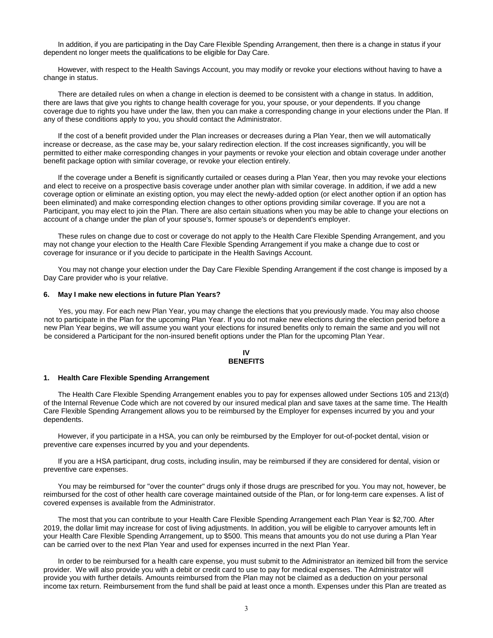In addition, if you are participating in the Day Care Flexible Spending Arrangement, then there is a change in status if your dependent no longer meets the qualifications to be eligible for Day Care.

However, with respect to the Health Savings Account, you may modify or revoke your elections without having to have a change in status.

There are detailed rules on when a change in election is deemed to be consistent with a change in status. In addition, there are laws that give you rights to change health coverage for you, your spouse, or your dependents. If you change coverage due to rights you have under the law, then you can make a corresponding change in your elections under the Plan. If any of these conditions apply to you, you should contact the Administrator.

If the cost of a benefit provided under the Plan increases or decreases during a Plan Year, then we will automatically increase or decrease, as the case may be, your salary redirection election. If the cost increases significantly, you will be permitted to either make corresponding changes in your payments or revoke your election and obtain coverage under another benefit package option with similar coverage, or revoke your election entirely.

If the coverage under a Benefit is significantly curtailed or ceases during a Plan Year, then you may revoke your elections and elect to receive on a prospective basis coverage under another plan with similar coverage. In addition, if we add a new coverage option or eliminate an existing option, you may elect the newly-added option (or elect another option if an option has been eliminated) and make corresponding election changes to other options providing similar coverage. If you are not a Participant, you may elect to join the Plan. There are also certain situations when you may be able to change your elections on account of a change under the plan of your spouse's, former spouse's or dependent's employer.

These rules on change due to cost or coverage do not apply to the Health Care Flexible Spending Arrangement, and you may not change your election to the Health Care Flexible Spending Arrangement if you make a change due to cost or coverage for insurance or if you decide to participate in the Health Savings Account.

You may not change your election under the Day Care Flexible Spending Arrangement if the cost change is imposed by a Day Care provider who is your relative.

#### **6. May I make new elections in future Plan Years?**

Yes, you may. For each new Plan Year, you may change the elections that you previously made. You may also choose not to participate in the Plan for the upcoming Plan Year. If you do not make new elections during the election period before a new Plan Year begins, we will assume you want your elections for insured benefits only to remain the same and you will not be considered a Participant for the non-insured benefit options under the Plan for the upcoming Plan Year.

#### **IV BENEFITS**

#### **1. Health Care Flexible Spending Arrangement**

The Health Care Flexible Spending Arrangement enables you to pay for expenses allowed under Sections 105 and 213(d) of the Internal Revenue Code which are not covered by our insured medical plan and save taxes at the same time. The Health Care Flexible Spending Arrangement allows you to be reimbursed by the Employer for expenses incurred by you and your dependents.

However, if you participate in a HSA, you can only be reimbursed by the Employer for out-of-pocket dental, vision or preventive care expenses incurred by you and your dependents*.*

If you are a HSA participant, drug costs, including insulin, may be reimbursed if they are considered for dental, vision or preventive care expenses.

You may be reimbursed for "over the counter" drugs only if those drugs are prescribed for you. You may not, however, be reimbursed for the cost of other health care coverage maintained outside of the Plan, or for long-term care expenses. A list of covered expenses is available from the Administrator.

The most that you can contribute to your Health Care Flexible Spending Arrangement each Plan Year is \$2,700. After 2019, the dollar limit may increase for cost of living adjustments. In addition, you will be eligible to carryover amounts left in your Health Care Flexible Spending Arrangement, up to \$500. This means that amounts you do not use during a Plan Year can be carried over to the next Plan Year and used for expenses incurred in the next Plan Year.

In order to be reimbursed for a health care expense, you must submit to the Administrator an itemized bill from the service provider. We will also provide you with a debit or credit card to use to pay for medical expenses. The Administrator will provide you with further details. Amounts reimbursed from the Plan may not be claimed as a deduction on your personal income tax return. Reimbursement from the fund shall be paid at least once a month. Expenses under this Plan are treated as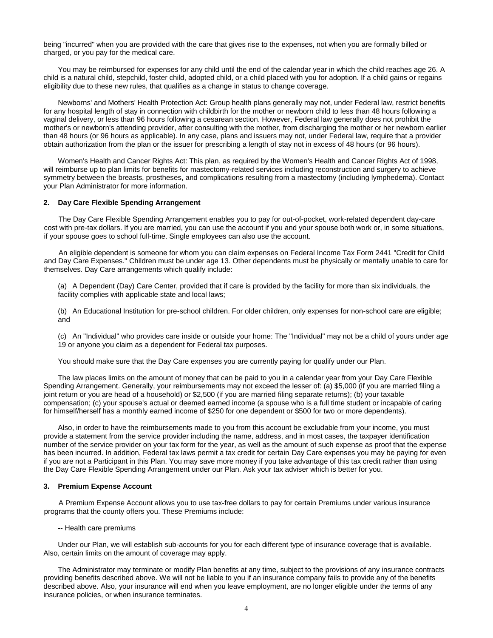being "incurred" when you are provided with the care that gives rise to the expenses, not when you are formally billed or charged, or you pay for the medical care.

You may be reimbursed for expenses for any child until the end of the calendar year in which the child reaches age 26. A child is a natural child, stepchild, foster child, adopted child, or a child placed with you for adoption. If a child gains or regains eligibility due to these new rules, that qualifies as a change in status to change coverage.

Newborns' and Mothers' Health Protection Act: Group health plans generally may not, under Federal law, restrict benefits for any hospital length of stay in connection with childbirth for the mother or newborn child to less than 48 hours following a vaginal delivery, or less than 96 hours following a cesarean section. However, Federal law generally does not prohibit the mother's or newborn's attending provider, after consulting with the mother, from discharging the mother or her newborn earlier than 48 hours (or 96 hours as applicable). In any case, plans and issuers may not, under Federal law, require that a provider obtain authorization from the plan or the issuer for prescribing a length of stay not in excess of 48 hours (or 96 hours).

Women's Health and Cancer Rights Act: This plan, as required by the Women's Health and Cancer Rights Act of 1998, will reimburse up to plan limits for benefits for mastectomy-related services including reconstruction and surgery to achieve symmetry between the breasts, prostheses, and complications resulting from a mastectomy (including lymphedema). Contact your Plan Administrator for more information.

#### **2. Day Care Flexible Spending Arrangement**

The Day Care Flexible Spending Arrangement enables you to pay for out-of-pocket, work-related dependent day-care cost with pre-tax dollars. If you are married, you can use the account if you and your spouse both work or, in some situations, if your spouse goes to school full-time. Single employees can also use the account.

An eligible dependent is someone for whom you can claim expenses on Federal Income Tax Form 2441 "Credit for Child and Day Care Expenses." Children must be under age 13. Other dependents must be physically or mentally unable to care for themselves. Day Care arrangements which qualify include:

(a) A Dependent (Day) Care Center, provided that if care is provided by the facility for more than six individuals, the facility complies with applicable state and local laws;

(b) An Educational Institution for pre-school children. For older children, only expenses for non-school care are eligible; and

(c) An "Individual" who provides care inside or outside your home: The "Individual" may not be a child of yours under age 19 or anyone you claim as a dependent for Federal tax purposes.

You should make sure that the Day Care expenses you are currently paying for qualify under our Plan.

The law places limits on the amount of money that can be paid to you in a calendar year from your Day Care Flexible Spending Arrangement. Generally, your reimbursements may not exceed the lesser of: (a) \$5,000 (if you are married filing a joint return or you are head of a household) or \$2,500 (if you are married filing separate returns); (b) your taxable compensation; (c) your spouse's actual or deemed earned income (a spouse who is a full time student or incapable of caring for himself/herself has a monthly earned income of \$250 for one dependent or \$500 for two or more dependents).

Also, in order to have the reimbursements made to you from this account be excludable from your income, you must provide a statement from the service provider including the name, address, and in most cases, the taxpayer identification number of the service provider on your tax form for the year, as well as the amount of such expense as proof that the expense has been incurred. In addition, Federal tax laws permit a tax credit for certain Day Care expenses you may be paying for even if you are not a Participant in this Plan. You may save more money if you take advantage of this tax credit rather than using the Day Care Flexible Spending Arrangement under our Plan. Ask your tax adviser which is better for you.

#### **3. Premium Expense Account**

A Premium Expense Account allows you to use tax-free dollars to pay for certain Premiums under various insurance programs that the county offers you. These Premiums include:

-- Health care premiums

Under our Plan, we will establish sub-accounts for you for each different type of insurance coverage that is available. Also, certain limits on the amount of coverage may apply.

The Administrator may terminate or modify Plan benefits at any time, subject to the provisions of any insurance contracts providing benefits described above. We will not be liable to you if an insurance company fails to provide any of the benefits described above. Also, your insurance will end when you leave employment, are no longer eligible under the terms of any insurance policies, or when insurance terminates.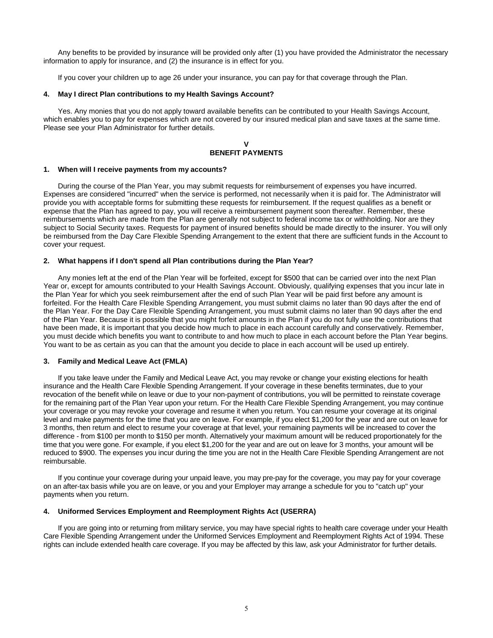Any benefits to be provided by insurance will be provided only after (1) you have provided the Administrator the necessary information to apply for insurance, and (2) the insurance is in effect for you.

If you cover your children up to age 26 under your insurance, you can pay for that coverage through the Plan.

#### **4. May I direct Plan contributions to my Health Savings Account?**

Yes. Any monies that you do not apply toward available benefits can be contributed to your Health Savings Account, which enables you to pay for expenses which are not covered by our insured medical plan and save taxes at the same time. Please see your Plan Administrator for further details.

# **V BENEFIT PAYMENTS**

#### **1. When will I receive payments from my accounts?**

During the course of the Plan Year, you may submit requests for reimbursement of expenses you have incurred. Expenses are considered "incurred" when the service is performed, not necessarily when it is paid for. The Administrator will provide you with acceptable forms for submitting these requests for reimbursement. If the request qualifies as a benefit or expense that the Plan has agreed to pay, you will receive a reimbursement payment soon thereafter. Remember, these reimbursements which are made from the Plan are generally not subject to federal income tax or withholding. Nor are they subject to Social Security taxes. Requests for payment of insured benefits should be made directly to the insurer. You will only be reimbursed from the Day Care Flexible Spending Arrangement to the extent that there are sufficient funds in the Account to cover your request.

# **2. What happens if I don't spend all Plan contributions during the Plan Year?**

Any monies left at the end of the Plan Year will be forfeited, except for \$500 that can be carried over into the next Plan Year or, except for amounts contributed to your Health Savings Account. Obviously, qualifying expenses that you incur late in the Plan Year for which you seek reimbursement after the end of such Plan Year will be paid first before any amount is forfeited. For the Health Care Flexible Spending Arrangement, you must submit claims no later than 90 days after the end of the Plan Year. For the Day Care Flexible Spending Arrangement, you must submit claims no later than 90 days after the end of the Plan Year. Because it is possible that you might forfeit amounts in the Plan if you do not fully use the contributions that have been made, it is important that you decide how much to place in each account carefully and conservatively. Remember, you must decide which benefits you want to contribute to and how much to place in each account before the Plan Year begins. You want to be as certain as you can that the amount you decide to place in each account will be used up entirely.

#### **3. Family and Medical Leave Act (FMLA)**

If you take leave under the Family and Medical Leave Act, you may revoke or change your existing elections for health insurance and the Health Care Flexible Spending Arrangement. If your coverage in these benefits terminates, due to your revocation of the benefit while on leave or due to your non-payment of contributions, you will be permitted to reinstate coverage for the remaining part of the Plan Year upon your return. For the Health Care Flexible Spending Arrangement, you may continue your coverage or you may revoke your coverage and resume it when you return. You can resume your coverage at its original level and make payments for the time that you are on leave. For example, if you elect \$1,200 for the year and are out on leave for 3 months, then return and elect to resume your coverage at that level, your remaining payments will be increased to cover the difference - from \$100 per month to \$150 per month. Alternatively your maximum amount will be reduced proportionately for the time that you were gone. For example, if you elect \$1,200 for the year and are out on leave for 3 months, your amount will be reduced to \$900. The expenses you incur during the time you are not in the Health Care Flexible Spending Arrangement are not reimbursable.

If you continue your coverage during your unpaid leave, you may pre-pay for the coverage, you may pay for your coverage on an after-tax basis while you are on leave, or you and your Employer may arrange a schedule for you to "catch up" your payments when you return.

#### **4. Uniformed Services Employment and Reemployment Rights Act (USERRA)**

If you are going into or returning from military service, you may have special rights to health care coverage under your Health Care Flexible Spending Arrangement under the Uniformed Services Employment and Reemployment Rights Act of 1994. These rights can include extended health care coverage. If you may be affected by this law, ask your Administrator for further details.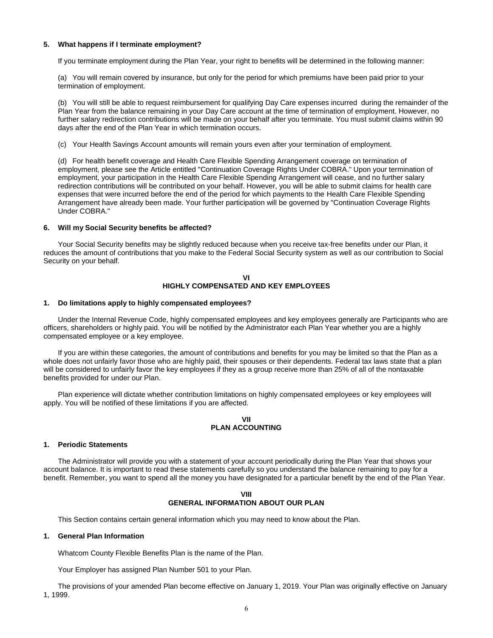#### **5. What happens if I terminate employment?**

If you terminate employment during the Plan Year, your right to benefits will be determined in the following manner:

(a) You will remain covered by insurance, but only for the period for which premiums have been paid prior to your termination of employment.

(b) You will still be able to request reimbursement for qualifying Day Care expenses incurred during the remainder of the Plan Year from the balance remaining in your Day Care account at the time of termination of employment. However, no further salary redirection contributions will be made on your behalf after you terminate. You must submit claims within 90 days after the end of the Plan Year in which termination occurs.

(c) Your Health Savings Account amounts will remain yours even after your termination of employment.

(d) For health benefit coverage and Health Care Flexible Spending Arrangement coverage on termination of employment, please see the Article entitled "Continuation Coverage Rights Under COBRA." Upon your termination of employment, your participation in the Health Care Flexible Spending Arrangement will cease, and no further salary redirection contributions will be contributed on your behalf. However, you will be able to submit claims for health care expenses that were incurred before the end of the period for which payments to the Health Care Flexible Spending Arrangement have already been made. Your further participation will be governed by "Continuation Coverage Rights Under COBRA."

#### **6. Will my Social Security benefits be affected?**

Your Social Security benefits may be slightly reduced because when you receive tax-free benefits under our Plan, it reduces the amount of contributions that you make to the Federal Social Security system as well as our contribution to Social Security on your behalf.

# **VI HIGHLY COMPENSATED AND KEY EMPLOYEES**

#### **1. Do limitations apply to highly compensated employees?**

Under the Internal Revenue Code, highly compensated employees and key employees generally are Participants who are officers, shareholders or highly paid. You will be notified by the Administrator each Plan Year whether you are a highly compensated employee or a key employee.

If you are within these categories, the amount of contributions and benefits for you may be limited so that the Plan as a whole does not unfairly favor those who are highly paid, their spouses or their dependents. Federal tax laws state that a plan will be considered to unfairly favor the key employees if they as a group receive more than 25% of all of the nontaxable benefits provided for under our Plan.

Plan experience will dictate whether contribution limitations on highly compensated employees or key employees will apply. You will be notified of these limitations if you are affected.

# **VII PLAN ACCOUNTING**

#### **1. Periodic Statements**

The Administrator will provide you with a statement of your account periodically during the Plan Year that shows your account balance. It is important to read these statements carefully so you understand the balance remaining to pay for a benefit. Remember, you want to spend all the money you have designated for a particular benefit by the end of the Plan Year.

# **VIII GENERAL INFORMATION ABOUT OUR PLAN**

This Section contains certain general information which you may need to know about the Plan.

# **1. General Plan Information**

Whatcom County Flexible Benefits Plan is the name of the Plan.

Your Employer has assigned Plan Number 501 to your Plan.

The provisions of your amended Plan become effective on January 1, 2019. Your Plan was originally effective on January 1, 1999.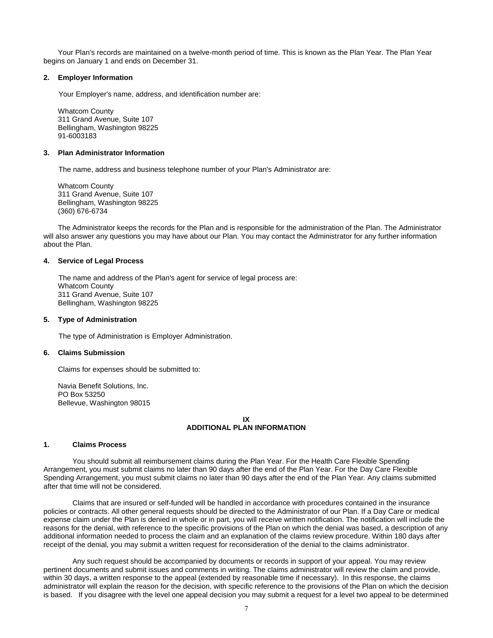Your Plan's records are maintained on a twelve-month period of time. This is known as the Plan Year. The Plan Year begins on January 1 and ends on December 31.

#### **2. Employer Information**

Your Employer's name, address, and identification number are:

Whatcom County 311 Grand Avenue, Suite 107 Bellingham, Washington 98225 91-6003183

#### **3. Plan Administrator Information**

The name, address and business telephone number of your Plan's Administrator are:

Whatcom County 311 Grand Avenue, Suite 107 Bellingham, Washington 98225 (360) 676-6734

The Administrator keeps the records for the Plan and is responsible for the administration of the Plan. The Administrator will also answer any questions you may have about our Plan. You may contact the Administrator for any further information about the Plan.

#### **4. Service of Legal Process**

The name and address of the Plan's agent for service of legal process are: Whatcom County 311 Grand Avenue, Suite 107 Bellingham, Washington 98225

#### **5. Type of Administration**

The type of Administration is Employer Administration.

#### **6. Claims Submission**

Claims for expenses should be submitted to:

Navia Benefit Solutions, Inc. PO Box 53250 Bellevue, Washington 98015

# **IX ADDITIONAL PLAN INFORMATION**

#### **1. Claims Process**

You should submit all reimbursement claims during the Plan Year. For the Health Care Flexible Spending Arrangement, you must submit claims no later than 90 days after the end of the Plan Year. For the Day Care Flexible Spending Arrangement, you must submit claims no later than 90 days after the end of the Plan Year. Any claims submitted after that time will not be considered.

Claims that are insured or self-funded will be handled in accordance with procedures contained in the insurance policies or contracts. All other general requests should be directed to the Administrator of our Plan. If a Day Care or medical expense claim under the Plan is denied in whole or in part, you will receive written notification. The notification will include the reasons for the denial, with reference to the specific provisions of the Plan on which the denial was based, a description of any additional information needed to process the claim and an explanation of the claims review procedure. Within 180 days after receipt of the denial, you may submit a written request for reconsideration of the denial to the claims administrator.

Any such request should be accompanied by documents or records in support of your appeal. You may review pertinent documents and submit issues and comments in writing. The claims administrator will review the claim and provide, within 30 days, a written response to the appeal (extended by reasonable time if necessary). In this response, the claims administrator will explain the reason for the decision, with specific reference to the provisions of the Plan on which the decision is based. If you disagree with the level one appeal decision you may submit a request for a level two appeal to be determined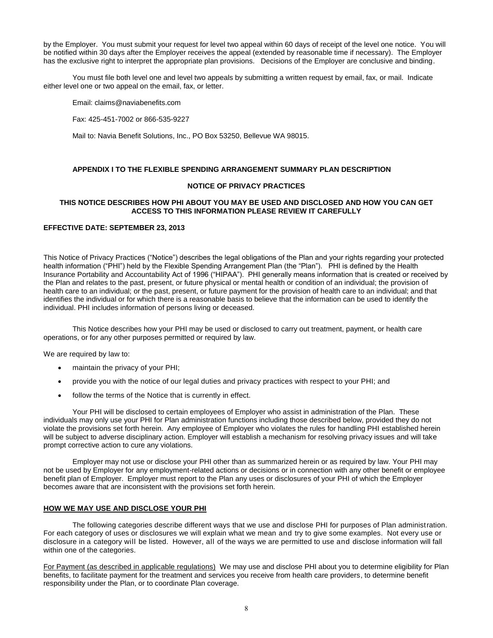by the Employer. You must submit your request for level two appeal within 60 days of receipt of the level one notice. You will be notified within 30 days after the Employer receives the appeal (extended by reasonable time if necessary). The Employer has the exclusive right to interpret the appropriate plan provisions. Decisions of the Employer are conclusive and binding.

You must file both level one and level two appeals by submitting a written request by email, fax, or mail. Indicate either level one or two appeal on the email, fax, or letter.

Email[: claims@naviabenefits.com](mailto:claims@flex-plan.com)

Fax: 425-451-7002 or 866-535-9227

Mail to: Navia Benefit Solutions, Inc., PO Box 53250, Bellevue WA 98015.

# **APPENDIX I TO THE FLEXIBLE SPENDING ARRANGEMENT SUMMARY PLAN DESCRIPTION**

# **NOTICE OF PRIVACY PRACTICES**

# **THIS NOTICE DESCRIBES HOW PHI ABOUT YOU MAY BE USED AND DISCLOSED AND HOW YOU CAN GET ACCESS TO THIS INFORMATION PLEASE REVIEW IT CAREFULLY**

# **EFFECTIVE DATE: SEPTEMBER 23, 2013**

This Notice of Privacy Practices ("Notice") describes the legal obligations of the Plan and your rights regarding your protected health information ("PHI") held by the Flexible Spending Arrangement Plan (the "Plan"). PHI is defined by the Health Insurance Portability and Accountability Act of 1996 ("HIPAA"). PHI generally means information that is created or received by the Plan and relates to the past, present, or future physical or mental health or condition of an individual; the provision of health care to an individual; or the past, present, or future payment for the provision of health care to an individual; and that identifies the individual or for which there is a reasonable basis to believe that the information can be used to identify the individual. PHI includes information of persons living or deceased.

This Notice describes how your PHI may be used or disclosed to carry out treatment, payment, or health care operations, or for any other purposes permitted or required by law.

We are required by law to:

- maintain the privacy of your PHI;
- provide you with the notice of our legal duties and privacy practices with respect to your PHI; and
- follow the terms of the Notice that is currently in effect.

Your PHI will be disclosed to certain employees of Employer who assist in administration of the Plan. These individuals may only use your PHI for Plan administration functions including those described below, provided they do not violate the provisions set forth herein. Any employee of Employer who violates the rules for handling PHI established herein will be subject to adverse disciplinary action. Employer will establish a mechanism for resolving privacy issues and will take prompt corrective action to cure any violations.

Employer may not use or disclose your PHI other than as summarized herein or as required by law. Your PHI may not be used by Employer for any employment-related actions or decisions or in connection with any other benefit or employee benefit plan of Employer. Employer must report to the Plan any uses or disclosures of your PHI of which the Employer becomes aware that are inconsistent with the provisions set forth herein.

# **HOW WE MAY USE AND DISCLOSE YOUR PHI**

The following categories describe different ways that we use and disclose PHI for purposes of Plan administration. For each category of uses or disclosures we will explain what we mean and try to give some examples. Not every use or disclosure in a category will be listed. However, all of the ways we are permitted to use and disclose information will fall within one of the categories.

For Payment (as described in applicable regulations) We may use and disclose PHI about you to determine eligibility for Plan benefits, to facilitate payment for the treatment and services you receive from health care providers, to determine benefit responsibility under the Plan, or to coordinate Plan coverage.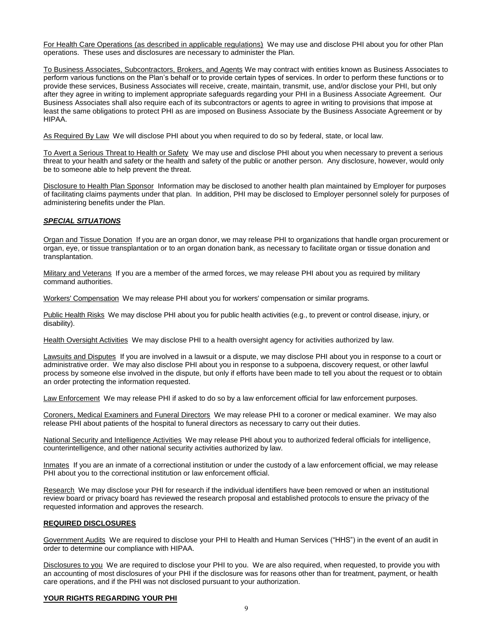For Health Care Operations (as described in applicable regulations) We may use and disclose PHI about you for other Plan operations. These uses and disclosures are necessary to administer the Plan.

To Business Associates, Subcontractors, Brokers, and Agents We may contract with entities known as Business Associates to perform various functions on the Plan's behalf or to provide certain types of services. In order to perform these functions or to provide these services, Business Associates will receive, create, maintain, transmit, use, and/or disclose your PHI, but only after they agree in writing to implement appropriate safeguards regarding your PHI in a Business Associate Agreement. Our Business Associates shall also require each of its subcontractors or agents to agree in writing to provisions that impose at least the same obligations to protect PHI as are imposed on Business Associate by the Business Associate Agreement or by HIPAA.

As Required By Law We will disclose PHI about you when required to do so by federal, state, or local law.

To Avert a Serious Threat to Health or Safety We may use and disclose PHI about you when necessary to prevent a serious threat to your health and safety or the health and safety of the public or another person. Any disclosure, however, would only be to someone able to help prevent the threat.

Disclosure to Health Plan Sponsor Information may be disclosed to another health plan maintained by Employer for purposes of facilitating claims payments under that plan. In addition, PHI may be disclosed to Employer personnel solely for purposes of administering benefits under the Plan.

# *SPECIAL SITUATIONS*

Organ and Tissue Donation If you are an organ donor, we may release PHI to organizations that handle organ procurement or organ, eye, or tissue transplantation or to an organ donation bank, as necessary to facilitate organ or tissue donation and transplantation.

Military and Veterans If you are a member of the armed forces, we may release PHI about you as required by military command authorities.

Workers' Compensation We may release PHI about you for workers' compensation or similar programs.

Public Health Risks We may disclose PHI about you for public health activities (e.g., to prevent or control disease, injury, or disability).

Health Oversight Activities We may disclose PHI to a health oversight agency for activities authorized by law.

Lawsuits and Disputes If you are involved in a lawsuit or a dispute, we may disclose PHI about you in response to a court or administrative order. We may also disclose PHI about you in response to a subpoena, discovery request, or other lawful process by someone else involved in the dispute, but only if efforts have been made to tell you about the request or to obtain an order protecting the information requested.

Law Enforcement We may release PHI if asked to do so by a law enforcement official for law enforcement purposes.

Coroners, Medical Examiners and Funeral Directors We may release PHI to a coroner or medical examiner. We may also release PHI about patients of the hospital to funeral directors as necessary to carry out their duties.

National Security and Intelligence Activities We may release PHI about you to authorized federal officials for intelligence, counterintelligence, and other national security activities authorized by law.

Inmates If you are an inmate of a correctional institution or under the custody of a law enforcement official, we may release PHI about you to the correctional institution or law enforcement official.

Research We may disclose your PHI for research if the individual identifiers have been removed or when an institutional review board or privacy board has reviewed the research proposal and established protocols to ensure the privacy of the requested information and approves the research.

#### **REQUIRED DISCLOSURES**

Government Audits We are required to disclose your PHI to Health and Human Services ("HHS") in the event of an audit in order to determine our compliance with HIPAA.

Disclosures to you We are required to disclose your PHI to you. We are also required, when requested, to provide you with an accounting of most disclosures of your PHI if the disclosure was for reasons other than for treatment, payment, or health care operations, and if the PHI was not disclosed pursuant to your authorization.

#### **YOUR RIGHTS REGARDING YOUR PHI**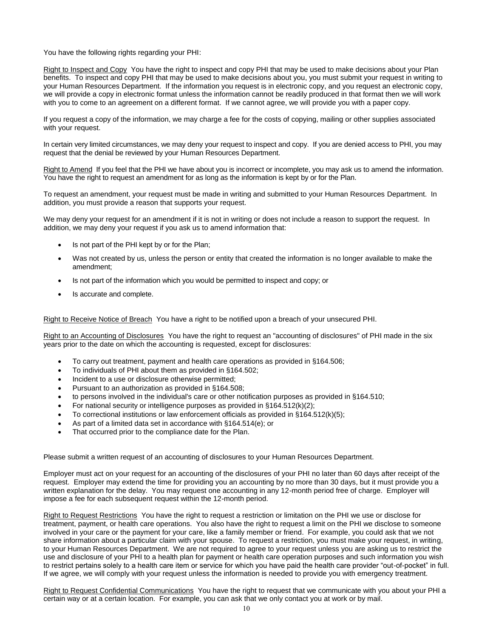You have the following rights regarding your PHI:

Right to Inspect and Copy You have the right to inspect and copy PHI that may be used to make decisions about your Plan benefits. To inspect and copy PHI that may be used to make decisions about you, you must submit your request in writing to your Human Resources Department. If the information you request is in electronic copy, and you request an electronic copy, we will provide a copy in electronic format unless the information cannot be readily produced in that format then we will work with you to come to an agreement on a different format. If we cannot agree, we will provide you with a paper copy.

If you request a copy of the information, we may charge a fee for the costs of copying, mailing or other supplies associated with your request.

In certain very limited circumstances, we may deny your request to inspect and copy. If you are denied access to PHI, you may request that the denial be reviewed by your Human Resources Department.

Right to Amend If you feel that the PHI we have about you is incorrect or incomplete, you may ask us to amend the information. You have the right to request an amendment for as long as the information is kept by or for the Plan.

To request an amendment, your request must be made in writing and submitted to your Human Resources Department. In addition, you must provide a reason that supports your request.

We may deny your request for an amendment if it is not in writing or does not include a reason to support the request. In addition, we may deny your request if you ask us to amend information that:

- Is not part of the PHI kept by or for the Plan;
- Was not created by us, unless the person or entity that created the information is no longer available to make the amendment;
- Is not part of the information which you would be permitted to inspect and copy; or
- Is accurate and complete.

Right to Receive Notice of Breach You have a right to be notified upon a breach of your unsecured PHI.

Right to an Accounting of Disclosures You have the right to request an "accounting of disclosures" of PHI made in the six years prior to the date on which the accounting is requested, except for disclosures:

- To carry out treatment, payment and health care operations as provided in §164.506;
- To individuals of PHI about them as provided in §164.502;
- Incident to a use or disclosure otherwise permitted;
- Pursuant to an authorization as provided in §164.508;
- to persons involved in the individual's care or other notification purposes as provided in §164.510;
- For national security or intelligence purposes as provided in §164.512(k)(2);
- To correctional institutions or law enforcement officials as provided in  $§164.512(k)(5);$
- As part of a limited data set in accordance with §164.514(e); or
- That occurred prior to the compliance date for the Plan.

Please submit a written request of an accounting of disclosures to your Human Resources Department.

Employer must act on your request for an accounting of the disclosures of your PHI no later than 60 days after receipt of the request. Employer may extend the time for providing you an accounting by no more than 30 days, but it must provide you a written explanation for the delay. You may request one accounting in any 12-month period free of charge. Employer will impose a fee for each subsequent request within the 12-month period.

Right to Request Restrictions You have the right to request a restriction or limitation on the PHI we use or disclose for treatment, payment, or health care operations. You also have the right to request a limit on the PHI we disclose to someone involved in your care or the payment for your care, like a family member or friend. For example, you could ask that we not share information about a particular claim with your spouse. To request a restriction, you must make your request, in writing, to your Human Resources Department. We are not required to agree to your request unless you are asking us to restrict the use and disclosure of your PHI to a health plan for payment or health care operation purposes and such information you wish to restrict pertains solely to a health care item or service for which you have paid the health care provider "out-of-pocket" in full. If we agree, we will comply with your request unless the information is needed to provide you with emergency treatment.

Right to Request Confidential Communications You have the right to request that we communicate with you about your PHI a certain way or at a certain location. For example, you can ask that we only contact you at work or by mail.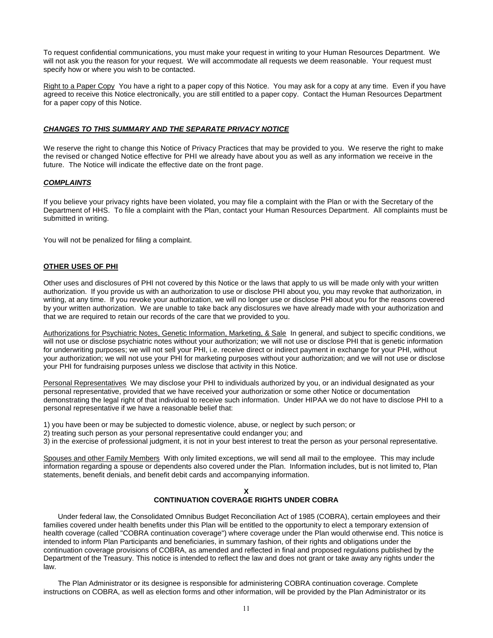To request confidential communications, you must make your request in writing to your Human Resources Department. We will not ask you the reason for your request. We will accommodate all requests we deem reasonable. Your request must specify how or where you wish to be contacted.

Right to a Paper Copy You have a right to a paper copy of this Notice. You may ask for a copy at any time. Even if you have agreed to receive this Notice electronically, you are still entitled to a paper copy. Contact the Human Resources Department for a paper copy of this Notice.

# *CHANGES TO THIS SUMMARY AND THE SEPARATE PRIVACY NOTICE*

We reserve the right to change this Notice of Privacy Practices that may be provided to you. We reserve the right to make the revised or changed Notice effective for PHI we already have about you as well as any information we receive in the future. The Notice will indicate the effective date on the front page.

### *COMPLAINTS*

If you believe your privacy rights have been violated, you may file a complaint with the Plan or with the Secretary of the Department of HHS. To file a complaint with the Plan, contact your Human Resources Department. All complaints must be submitted in writing.

You will not be penalized for filing a complaint.

#### **OTHER USES OF PHI**

Other uses and disclosures of PHI not covered by this Notice or the laws that apply to us will be made only with your written authorization. If you provide us with an authorization to use or disclose PHI about you, you may revoke that authorization, in writing, at any time. If you revoke your authorization, we will no longer use or disclose PHI about you for the reasons covered by your written authorization. We are unable to take back any disclosures we have already made with your authorization and that we are required to retain our records of the care that we provided to you.

Authorizations for Psychiatric Notes, Genetic Information, Marketing, & Sale In general, and subject to specific conditions, we will not use or disclose psychiatric notes without your authorization; we will not use or disclose PHI that is genetic information for underwriting purposes; we will not sell your PHI, i.e. receive direct or indirect payment in exchange for your PHI, without your authorization; we will not use your PHI for marketing purposes without your authorization; and we will not use or disclose your PHI for fundraising purposes unless we disclose that activity in this Notice.

Personal Representatives We may disclose your PHI to individuals authorized by you, or an individual designated as your personal representative, provided that we have received your authorization or some other Notice or documentation demonstrating the legal right of that individual to receive such information. Under HIPAA we do not have to disclose PHI to a personal representative if we have a reasonable belief that:

- 1) you have been or may be subjected to domestic violence, abuse, or neglect by such person; or
- 2) treating such person as your personal representative could endanger you; and
- 3) in the exercise of professional judgment, it is not in your best interest to treat the person as your personal representative.

Spouses and other Family Members With only limited exceptions, we will send all mail to the employee. This may include information regarding a spouse or dependents also covered under the Plan. Information includes, but is not limited to, Plan statements, benefit denials, and benefit debit cards and accompanying information.

#### **X**

# **CONTINUATION COVERAGE RIGHTS UNDER COBRA**

Under federal law, the Consolidated Omnibus Budget Reconciliation Act of 1985 (COBRA), certain employees and their families covered under health benefits under this Plan will be entitled to the opportunity to elect a temporary extension of health coverage (called "COBRA continuation coverage") where coverage under the Plan would otherwise end. This notice is intended to inform Plan Participants and beneficiaries, in summary fashion, of their rights and obligations under the continuation coverage provisions of COBRA, as amended and reflected in final and proposed regulations published by the Department of the Treasury. This notice is intended to reflect the law and does not grant or take away any rights under the law.

The Plan Administrator or its designee is responsible for administering COBRA continuation coverage. Complete instructions on COBRA, as well as election forms and other information, will be provided by the Plan Administrator or its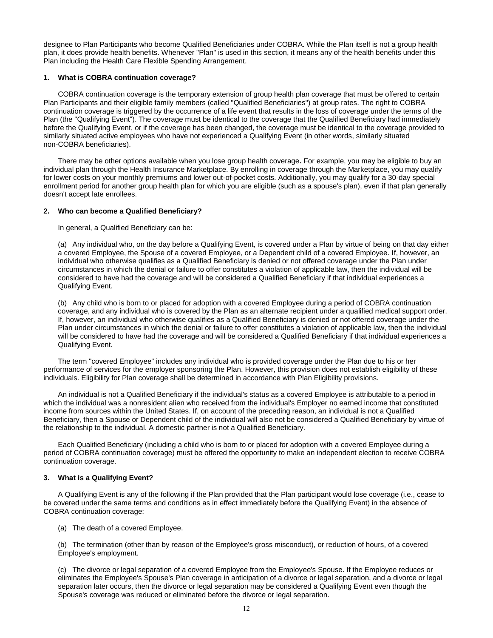designee to Plan Participants who become Qualified Beneficiaries under COBRA. While the Plan itself is not a group health plan, it does provide health benefits. Whenever "Plan" is used in this section, it means any of the health benefits under this Plan including the Health Care Flexible Spending Arrangement.

# **1. What is COBRA continuation coverage?**

COBRA continuation coverage is the temporary extension of group health plan coverage that must be offered to certain Plan Participants and their eligible family members (called "Qualified Beneficiaries") at group rates. The right to COBRA continuation coverage is triggered by the occurrence of a life event that results in the loss of coverage under the terms of the Plan (the "Qualifying Event"). The coverage must be identical to the coverage that the Qualified Beneficiary had immediately before the Qualifying Event, or if the coverage has been changed, the coverage must be identical to the coverage provided to similarly situated active employees who have not experienced a Qualifying Event (in other words, similarly situated non-COBRA beneficiaries).

There may be other options available when you lose group health coverage**.** For example, you may be eligible to buy an individual plan through the Health Insurance Marketplace. By enrolling in coverage through the Marketplace, you may qualify for lower costs on your monthly premiums and lower out-of-pocket costs. Additionally, you may qualify for a 30-day special enrollment period for another group health plan for which you are eligible (such as a spouse's plan), even if that plan generally doesn't accept late enrollees.

# **2. Who can become a Qualified Beneficiary?**

In general, a Qualified Beneficiary can be:

(a) Any individual who, on the day before a Qualifying Event, is covered under a Plan by virtue of being on that day either a covered Employee, the Spouse of a covered Employee, or a Dependent child of a covered Employee. If, however, an individual who otherwise qualifies as a Qualified Beneficiary is denied or not offered coverage under the Plan under circumstances in which the denial or failure to offer constitutes a violation of applicable law, then the individual will be considered to have had the coverage and will be considered a Qualified Beneficiary if that individual experiences a Qualifying Event.

(b) Any child who is born to or placed for adoption with a covered Employee during a period of COBRA continuation coverage, and any individual who is covered by the Plan as an alternate recipient under a qualified medical support order. If, however, an individual who otherwise qualifies as a Qualified Beneficiary is denied or not offered coverage under the Plan under circumstances in which the denial or failure to offer constitutes a violation of applicable law, then the individual will be considered to have had the coverage and will be considered a Qualified Beneficiary if that individual experiences a Qualifying Event.

The term "covered Employee" includes any individual who is provided coverage under the Plan due to his or her performance of services for the employer sponsoring the Plan. However, this provision does not establish eligibility of these individuals. Eligibility for Plan coverage shall be determined in accordance with Plan Eligibility provisions.

An individual is not a Qualified Beneficiary if the individual's status as a covered Employee is attributable to a period in which the individual was a nonresident alien who received from the individual's Employer no earned income that constituted income from sources within the United States. If, on account of the preceding reason, an individual is not a Qualified Beneficiary, then a Spouse or Dependent child of the individual will also not be considered a Qualified Beneficiary by virtue of the relationship to the individual. A domestic partner is not a Qualified Beneficiary.

Each Qualified Beneficiary (including a child who is born to or placed for adoption with a covered Employee during a period of COBRA continuation coverage) must be offered the opportunity to make an independent election to receive COBRA continuation coverage.

#### **3. What is a Qualifying Event?**

A Qualifying Event is any of the following if the Plan provided that the Plan participant would lose coverage (i.e., cease to be covered under the same terms and conditions as in effect immediately before the Qualifying Event) in the absence of COBRA continuation coverage:

(a) The death of a covered Employee.

(b) The termination (other than by reason of the Employee's gross misconduct), or reduction of hours, of a covered Employee's employment.

(c) The divorce or legal separation of a covered Employee from the Employee's Spouse. If the Employee reduces or eliminates the Employee's Spouse's Plan coverage in anticipation of a divorce or legal separation, and a divorce or legal separation later occurs, then the divorce or legal separation may be considered a Qualifying Event even though the Spouse's coverage was reduced or eliminated before the divorce or legal separation.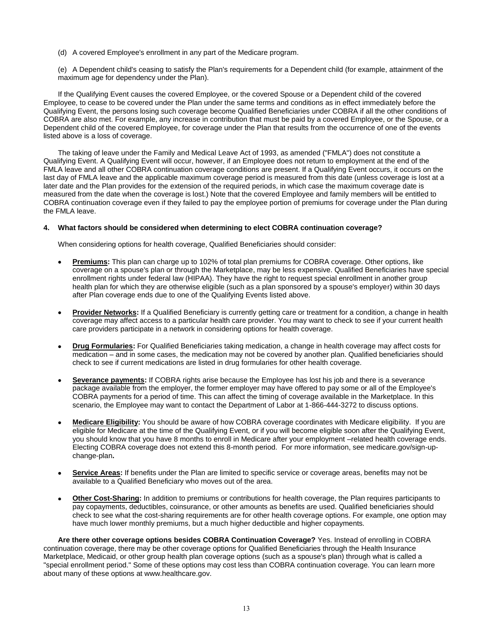(d) A covered Employee's enrollment in any part of the Medicare program.

(e) A Dependent child's ceasing to satisfy the Plan's requirements for a Dependent child (for example, attainment of the maximum age for dependency under the Plan).

If the Qualifying Event causes the covered Employee, or the covered Spouse or a Dependent child of the covered Employee, to cease to be covered under the Plan under the same terms and conditions as in effect immediately before the Qualifying Event, the persons losing such coverage become Qualified Beneficiaries under COBRA if all the other conditions of COBRA are also met. For example, any increase in contribution that must be paid by a covered Employee, or the Spouse, or a Dependent child of the covered Employee, for coverage under the Plan that results from the occurrence of one of the events listed above is a loss of coverage.

The taking of leave under the Family and Medical Leave Act of 1993, as amended ("FMLA") does not constitute a Qualifying Event. A Qualifying Event will occur, however, if an Employee does not return to employment at the end of the FMLA leave and all other COBRA continuation coverage conditions are present. If a Qualifying Event occurs, it occurs on the last day of FMLA leave and the applicable maximum coverage period is measured from this date (unless coverage is lost at a later date and the Plan provides for the extension of the required periods, in which case the maximum coverage date is measured from the date when the coverage is lost.) Note that the covered Employee and family members will be entitled to COBRA continuation coverage even if they failed to pay the employee portion of premiums for coverage under the Plan during the FMLA leave.

# **4. What factors should be considered when determining to elect COBRA continuation coverage?**

When considering options for health coverage, Qualified Beneficiaries should consider:

- **Premiums:** This plan can charge up to 102% of total plan premiums for COBRA coverage. Other options, like coverage on a spouse's plan or through the Marketplace, may be less expensive. Qualified Beneficiaries have special enrollment rights under federal law (HIPAA). They have the right to request special enrollment in another group health plan for which they are otherwise eligible (such as a plan sponsored by a spouse's employer) within 30 days after Plan coverage ends due to one of the Qualifying Events listed above.
- **Provider Networks:** If a Qualified Beneficiary is currently getting care or treatment for a condition, a change in health coverage may affect access to a particular health care provider. You may want to check to see if your current health care providers participate in a network in considering options for health coverage.
- **Drug Formularies:** For Qualified Beneficiaries taking medication, a change in health coverage may affect costs for medication – and in some cases, the medication may not be covered by another plan. Qualified beneficiaries should check to see if current medications are listed in drug formularies for other health coverage.
- **Severance payments:** If COBRA rights arise because the Employee has lost his job and there is a severance package available from the employer, the former employer may have offered to pay some or all of the Employee's COBRA payments for a period of time. This can affect the timing of coverage available in the Marketplace. In this scenario, the Employee may want to contact the Department of Labor at 1-866-444-3272 to discuss options.
- **Medicare Eligibility:** You should be aware of how COBRA coverage coordinates with Medicare eligibility. If you are eligible for Medicare at the time of the Qualifying Event, or if you will become eligible soon after the Qualifying Event, you should know that you have 8 months to enroll in Medicare after your employment –related health coverage ends. Electing COBRA coverage does not extend this 8-month period. For more information, see medicare.gov/sign-upchange-plan**.**
- **Service Areas:** If benefits under the Plan are limited to specific service or coverage areas, benefits may not be available to a Qualified Beneficiary who moves out of the area.
- **Other Cost-Sharing:** In addition to premiums or contributions for health coverage, the Plan requires participants to pay copayments, deductibles, coinsurance, or other amounts as benefits are used. Qualified beneficiaries should check to see what the cost-sharing requirements are for other health coverage options. For example, one option may have much lower monthly premiums, but a much higher deductible and higher copayments.

**Are there other coverage options besides COBRA Continuation Coverage?** Yes. Instead of enrolling in COBRA continuation coverage, there may be other coverage options for Qualified Beneficiaries through the Health Insurance Marketplace, Medicaid, or other group health plan coverage options (such as a spouse's plan) through what is called a "special enrollment period." Some of these options may cost less than COBRA continuation coverage. You can learn more about many of these options at www.healthcare.gov.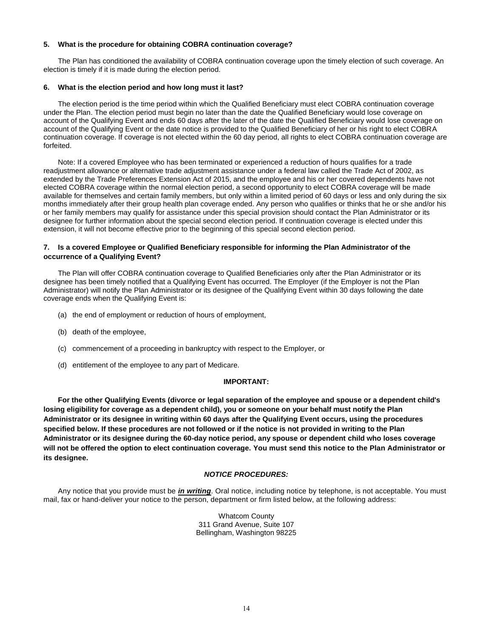# **5. What is the procedure for obtaining COBRA continuation coverage?**

The Plan has conditioned the availability of COBRA continuation coverage upon the timely election of such coverage. An election is timely if it is made during the election period.

# **6. What is the election period and how long must it last?**

The election period is the time period within which the Qualified Beneficiary must elect COBRA continuation coverage under the Plan. The election period must begin no later than the date the Qualified Beneficiary would lose coverage on account of the Qualifying Event and ends 60 days after the later of the date the Qualified Beneficiary would lose coverage on account of the Qualifying Event or the date notice is provided to the Qualified Beneficiary of her or his right to elect COBRA continuation coverage. If coverage is not elected within the 60 day period, all rights to elect COBRA continuation coverage are forfeited.

Note: If a covered Employee who has been terminated or experienced a reduction of hours qualifies for a trade readjustment allowance or alternative trade adjustment assistance under a federal law called the Trade Act of 2002, as extended by the Trade Preferences Extension Act of 2015, and the employee and his or her covered dependents have not elected COBRA coverage within the normal election period, a second opportunity to elect COBRA coverage will be made available for themselves and certain family members, but only within a limited period of 60 days or less and only during the six months immediately after their group health plan coverage ended. Any person who qualifies or thinks that he or she and/or his or her family members may qualify for assistance under this special provision should contact the Plan Administrator or its designee for further information about the special second election period. If continuation coverage is elected under this extension, it will not become effective prior to the beginning of this special second election period.

# **7. Is a covered Employee or Qualified Beneficiary responsible for informing the Plan Administrator of the occurrence of a Qualifying Event?**

The Plan will offer COBRA continuation coverage to Qualified Beneficiaries only after the Plan Administrator or its designee has been timely notified that a Qualifying Event has occurred. The Employer (if the Employer is not the Plan Administrator) will notify the Plan Administrator or its designee of the Qualifying Event within 30 days following the date coverage ends when the Qualifying Event is:

- (a) the end of employment or reduction of hours of employment,
- (b) death of the employee,
- (c) commencement of a proceeding in bankruptcy with respect to the Employer, or
- (d) entitlement of the employee to any part of Medicare.

# **IMPORTANT:**

**For the other Qualifying Events (divorce or legal separation of the employee and spouse or a dependent child's losing eligibility for coverage as a dependent child), you or someone on your behalf must notify the Plan Administrator or its designee in writing within 60 days after the Qualifying Event occurs, using the procedures specified below. If these procedures are not followed or if the notice is not provided in writing to the Plan Administrator or its designee during the 60-day notice period, any spouse or dependent child who loses coverage will not be offered the option to elect continuation coverage. You must send this notice to the Plan Administrator or its designee.**

#### *NOTICE PROCEDURES:*

Any notice that you provide must be *in writing*. Oral notice, including notice by telephone, is not acceptable. You must mail, fax or hand-deliver your notice to the person, department or firm listed below, at the following address:

> Whatcom County 311 Grand Avenue, Suite 107 Bellingham, Washington 98225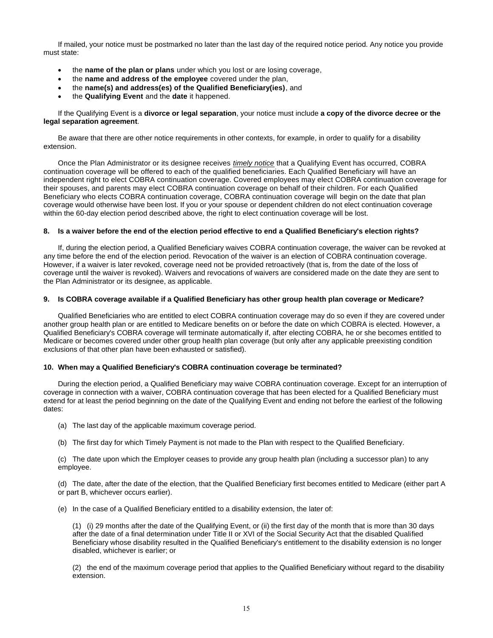If mailed, your notice must be postmarked no later than the last day of the required notice period. Any notice you provide must state:

- the **name of the plan or plans** under which you lost or are losing coverage,
- the **name and address of the employee** covered under the plan,
- the **name(s) and address(es) of the Qualified Beneficiary(ies)**, and
- the **Qualifying Event** and the **date** it happened.

#### If the Qualifying Event is a **divorce or legal separation**, your notice must include **a copy of the divorce decree or the legal separation agreement**.

Be aware that there are other notice requirements in other contexts, for example, in order to qualify for a disability extension.

Once the Plan Administrator or its designee receives *timely notice* that a Qualifying Event has occurred, COBRA continuation coverage will be offered to each of the qualified beneficiaries. Each Qualified Beneficiary will have an independent right to elect COBRA continuation coverage. Covered employees may elect COBRA continuation coverage for their spouses, and parents may elect COBRA continuation coverage on behalf of their children. For each Qualified Beneficiary who elects COBRA continuation coverage, COBRA continuation coverage will begin on the date that plan coverage would otherwise have been lost. If you or your spouse or dependent children do not elect continuation coverage within the 60-day election period described above, the right to elect continuation coverage will be lost.

#### **8. Is a waiver before the end of the election period effective to end a Qualified Beneficiary's election rights?**

If, during the election period, a Qualified Beneficiary waives COBRA continuation coverage, the waiver can be revoked at any time before the end of the election period. Revocation of the waiver is an election of COBRA continuation coverage. However, if a waiver is later revoked, coverage need not be provided retroactively (that is, from the date of the loss of coverage until the waiver is revoked). Waivers and revocations of waivers are considered made on the date they are sent to the Plan Administrator or its designee, as applicable.

# **9. Is COBRA coverage available if a Qualified Beneficiary has other group health plan coverage or Medicare?**

Qualified Beneficiaries who are entitled to elect COBRA continuation coverage may do so even if they are covered under another group health plan or are entitled to Medicare benefits on or before the date on which COBRA is elected. However, a Qualified Beneficiary's COBRA coverage will terminate automatically if, after electing COBRA, he or she becomes entitled to Medicare or becomes covered under other group health plan coverage (but only after any applicable preexisting condition exclusions of that other plan have been exhausted or satisfied).

#### **10. When may a Qualified Beneficiary's COBRA continuation coverage be terminated?**

During the election period, a Qualified Beneficiary may waive COBRA continuation coverage. Except for an interruption of coverage in connection with a waiver, COBRA continuation coverage that has been elected for a Qualified Beneficiary must extend for at least the period beginning on the date of the Qualifying Event and ending not before the earliest of the following dates:

- (a) The last day of the applicable maximum coverage period.
- (b) The first day for which Timely Payment is not made to the Plan with respect to the Qualified Beneficiary.

(c) The date upon which the Employer ceases to provide any group health plan (including a successor plan) to any employee.

(d) The date, after the date of the election, that the Qualified Beneficiary first becomes entitled to Medicare (either part A or part B, whichever occurs earlier).

(e) In the case of a Qualified Beneficiary entitled to a disability extension, the later of:

(1) (i) 29 months after the date of the Qualifying Event, or (ii) the first day of the month that is more than 30 days after the date of a final determination under Title II or XVI of the Social Security Act that the disabled Qualified Beneficiary whose disability resulted in the Qualified Beneficiary's entitlement to the disability extension is no longer disabled, whichever is earlier; or

(2) the end of the maximum coverage period that applies to the Qualified Beneficiary without regard to the disability extension.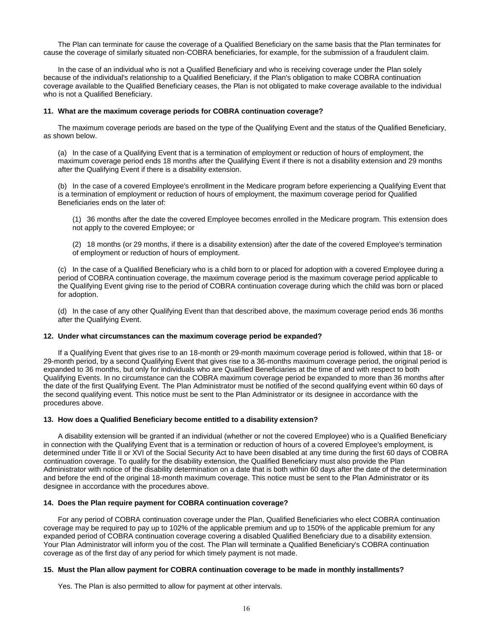The Plan can terminate for cause the coverage of a Qualified Beneficiary on the same basis that the Plan terminates for cause the coverage of similarly situated non-COBRA beneficiaries, for example, for the submission of a fraudulent claim.

In the case of an individual who is not a Qualified Beneficiary and who is receiving coverage under the Plan solely because of the individual's relationship to a Qualified Beneficiary, if the Plan's obligation to make COBRA continuation coverage available to the Qualified Beneficiary ceases, the Plan is not obligated to make coverage available to the individual who is not a Qualified Beneficiary.

#### **11. What are the maximum coverage periods for COBRA continuation coverage?**

The maximum coverage periods are based on the type of the Qualifying Event and the status of the Qualified Beneficiary, as shown below.

(a) In the case of a Qualifying Event that is a termination of employment or reduction of hours of employment, the maximum coverage period ends 18 months after the Qualifying Event if there is not a disability extension and 29 months after the Qualifying Event if there is a disability extension.

(b) In the case of a covered Employee's enrollment in the Medicare program before experiencing a Qualifying Event that is a termination of employment or reduction of hours of employment, the maximum coverage period for Qualified Beneficiaries ends on the later of:

(1) 36 months after the date the covered Employee becomes enrolled in the Medicare program. This extension does not apply to the covered Employee; or

(2) 18 months (or 29 months, if there is a disability extension) after the date of the covered Employee's termination of employment or reduction of hours of employment.

(c) In the case of a Qualified Beneficiary who is a child born to or placed for adoption with a covered Employee during a period of COBRA continuation coverage, the maximum coverage period is the maximum coverage period applicable to the Qualifying Event giving rise to the period of COBRA continuation coverage during which the child was born or placed for adoption.

(d) In the case of any other Qualifying Event than that described above, the maximum coverage period ends 36 months after the Qualifying Event.

# **12. Under what circumstances can the maximum coverage period be expanded?**

If a Qualifying Event that gives rise to an 18-month or 29-month maximum coverage period is followed, within that 18- or 29-month period, by a second Qualifying Event that gives rise to a 36-months maximum coverage period, the original period is expanded to 36 months, but only for individuals who are Qualified Beneficiaries at the time of and with respect to both Qualifying Events. In no circumstance can the COBRA maximum coverage period be expanded to more than 36 months after the date of the first Qualifying Event. The Plan Administrator must be notified of the second qualifying event within 60 days of the second qualifying event. This notice must be sent to the Plan Administrator or its designee in accordance with the procedures above.

#### **13. How does a Qualified Beneficiary become entitled to a disability extension?**

A disability extension will be granted if an individual (whether or not the covered Employee) who is a Qualified Beneficiary in connection with the Qualifying Event that is a termination or reduction of hours of a covered Employee's employment, is determined under Title II or XVI of the Social Security Act to have been disabled at any time during the first 60 days of COBRA continuation coverage. To qualify for the disability extension, the Qualified Beneficiary must also provide the Plan Administrator with notice of the disability determination on a date that is both within 60 days after the date of the determination and before the end of the original 18-month maximum coverage. This notice must be sent to the Plan Administrator or its designee in accordance with the procedures above.

#### **14. Does the Plan require payment for COBRA continuation coverage?**

For any period of COBRA continuation coverage under the Plan, Qualified Beneficiaries who elect COBRA continuation coverage may be required to pay up to 102% of the applicable premium and up to 150% of the applicable premium for any expanded period of COBRA continuation coverage covering a disabled Qualified Beneficiary due to a disability extension. Your Plan Administrator will inform you of the cost. The Plan will terminate a Qualified Beneficiary's COBRA continuation coverage as of the first day of any period for which timely payment is not made.

#### **15. Must the Plan allow payment for COBRA continuation coverage to be made in monthly installments?**

Yes. The Plan is also permitted to allow for payment at other intervals.